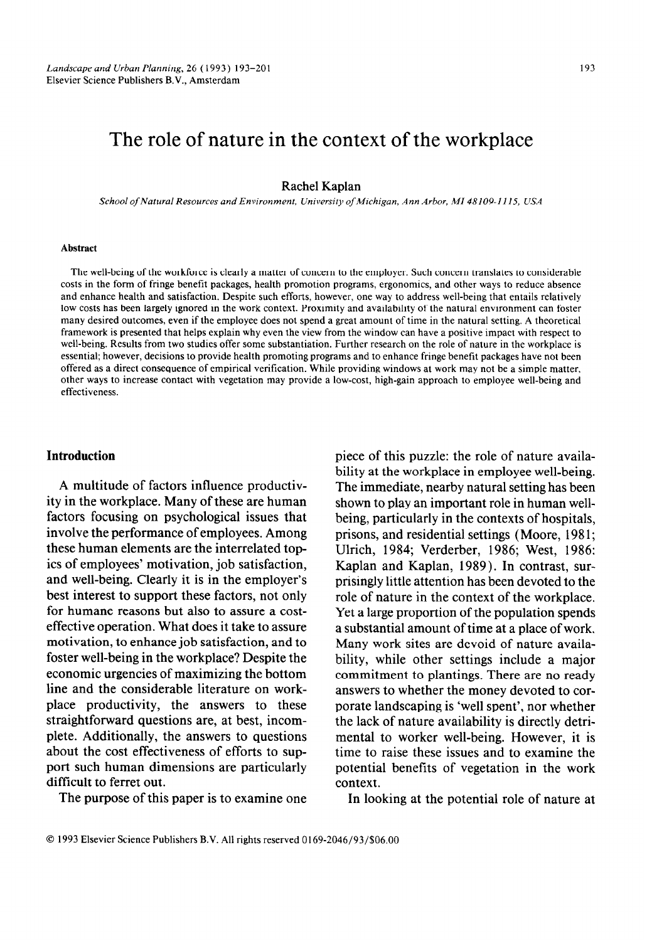# The role of nature in the context of the workplace

Rachel Kaplan

School of Natural Resources and Environment, University of Michigan, Ann Arbor, MI 48109-1115, USA

#### **Abstract**

The well-being of the workforce is clearly a matter of concern to the employer. Such concern translates to considerable costs in the form of fringe benefit packages, health promotion programs, ergonomics, and other ways to reduce absence and enhance health and satisfaction. Despite such efforts, however, one way to address well-being that entails relatively low costs has been largely ignored in the work context. Proximity and availability of the natural environment can foster many desired outcomes, even if the employee does not spend a great amount of time in the natural setting. A theoretical framework is presented that helps explain why even the view from the window can have a positive impact with respect to well-being. Results from two studies offer some substantiation. Further research on the role of nature in the workplace is essential; however, decisions to provide health promoting programs and to enhance fringe benefit packages have not been offered as a direct consequence of empirical verification. While providing windows at work may not be a simple matter, other ways to increase contact with vegetation may provide a low-cost, high-gain approach to employee well-being and effectiveness.

# **Introduction**

A multitude of factors influence productivity in the workplace. Many of these are human factors focusing on psychological issues that involve the performance of employees. Among these human elements are the interrelated topics of employees' motivation, job satisfaction, and well-being. Clearly it is in the employer's best interest to support these factors, not only for humane reasons but also to assure a costeffective operation. What does it take to assure motivation, to enhance job satisfaction, and to foster well-being in the workplace? Despite the economic urgencies of maximizing the bottom line and the considerable literature on workplace productivity, the answers to these straightforward questions are, at best, incomplete. Additionally, the answers to questions about the cost effectiveness of efforts to support such human dimensions are particularly difficult to ferret out.

The purpose of this paper is to examine one

piece of this puzzle: the role of nature availability at the workplace in employee well-being. The immediate, nearby natural setting has been shown to play an important role in human wellbeing, particularly in the contexts of hospitals, prisons, and residential settings (Moore, 198 1; Ulrich, 1984; Verderber, 1986; West, 1986: Kaplan and Kaplan, 1989). In contrast, surprisingly little attention has been devoted to the role of nature in the context of the workplace. Yet a large proportion of the population spends a substantial amount of time at a place of work. Many work sites are devoid of nature availability, while other settings include a major commitment to plantings. There are no ready answers to whether the money devoted to corporate landscaping is 'well spent', nor whether the lack of nature availability is directly detrimental to worker well-being. However, it is time to raise these issues and to examine the potential benefits of vegetation in the work context.

In looking at the potential role of nature at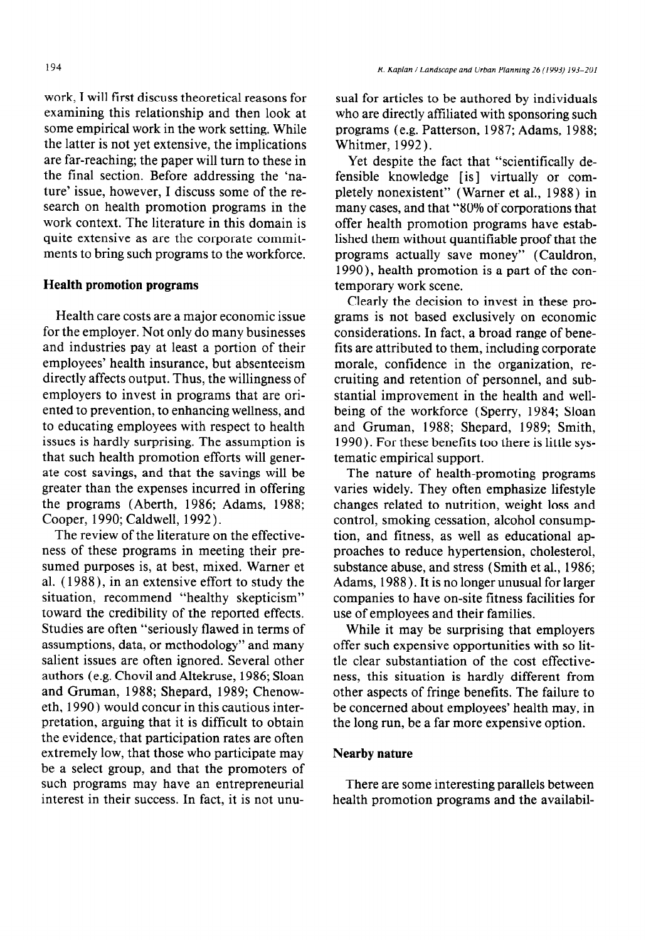work, I will first discuss theoretical reasons for examining this relationship and then look at some empirical work in the work setting. While the latter is not yet extensive, the implications are far-reaching; the paper will turn to these in the final section. Before addressing the 'nature' issue, however, I discuss some of the research on health promotion programs in the work context. The literature in this domain is quite extensive as are the corporate commitments to bring such programs to the workforce.

# **Health promotion programs**

Health care costs are a major economic issue for the employer. Not only do many businesses and industries pay at least a portion of their employees' health insurance, but absenteeism directly affects output. Thus, the willingness of employers to invest in programs that are oriented to prevention, to enhancing wellness, and to educating employees with respect to health issues is hardly surprising. The assumption is that such health promotion efforts will generate cost savings, and that the savings will be greater than the expenses incurred in offering the programs (Aberth, 1986; Adams, 1988; Cooper, 1990; Caldwell, 1992).

The review of the literature on the effectiveness of these programs in meeting their presumed purposes is, at best, mixed. Warner et al. ( 1988 ), in an extensive effort to study the situation, recommend "healthy skepticism" toward the credibility of the reported effects. Studies are often "seriously flawed in terms of assumptions, data, or methodology" and many salient issues are often ignored. Several other authors (e.g. Chovil and Altekruse, 1986; Sloan and Gruman, 1988; Shepard, 1989; Chenoweth, **1990)** would concur in this cautious interpretation, arguing that it is difficult to obtain the evidence, that participation rates are often extremely low, that those who participate may be a select group, and that the promoters of such programs may have an entrepreneurial interest in their success. In fact, it is not unusual for articles to be authored by individuals who are directly affiliated with sponsoring such programs (e.g. Patterson, 1987; Adams, 1988; Whitmer, 1992).

Yet despite the fact that "scientifically defensible knowledge [is] virtually or completely nonexistent" (Warner et al., 1988) in many cases, and that "80% of corporations that offer health promotion programs have established them without quantifiable proof that the programs actually save money" (Cauldron, 1990)) health promotion is a part of the contemporary work scene.

Clearly the decision to invest in these programs is not based exclusively on economic considerations. In fact, a broad range of benefits are attributed to them, including corporate morale, confidence in the organization, recruiting and retention of personnel, and substantial improvement in the health and wellbeing of the workforce (Sperry, 1984; Sloan and Gruman, 1988; Shepard, 1989; Smith, 1990). For these benefits too there is little systematic empirical support.

The nature of health-promoting programs varies widely. They often emphasize lifestyle changes related to nutrition, weight loss and control, smoking cessation, alcohol consumption, and fitness, as well as educational approaches to reduce hypertension, cholesterol, substance abuse, and stress (Smith et al., 1986; Adams, 1988). It is no longer unusual for larger companies to have on-site fitness facilities for use of employees and their families.

While it may be surprising that employers offer such expensive opportunities with so little clear substantiation of the cost effectiveness, this situation is hardly different from other aspects of fringe benefits. The failure to be concerned about employees' health may, in the long run, be a far more expensive option.

#### **Nearby nature**

There are some interesting parallels between health promotion programs and the availabil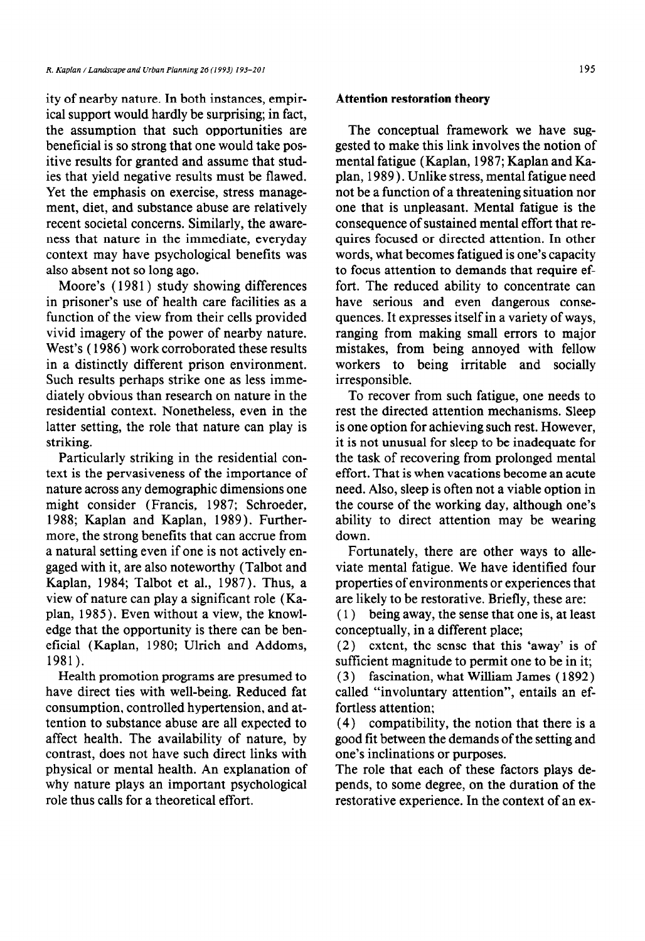ity of nearby nature. In both instances, empirical support would hardly be surprising; in fact, the assumption that such opportunities are beneficial is so strong that one would take positive results for granted and assume that studies that yield negative results must be flawed. Yet the emphasis on exercise, stress management, diet, and substance abuse are relatively recent societal concerns. Similarly, the awareness that nature in the immediate, everyday context may have psychological benefits was also absent not so long ago.

Moore's (1981) study showing differences in prisoner's use of health care facilities as a function of the view from their cells provided vivid imagery of the power of nearby nature. West's ( 1986) work corroborated these results in a distinctly different prison environment. Such results perhaps strike one as less immediately obvious than research on nature in the residential context. Nonetheless, even in the latter setting, the role that nature can play is striking.

Particularly striking in the residential context is the pervasiveness of the importance of nature across any demographic dimensions one might consider (Francis, 1987; Schroeder, 1988; Kaplan and Kaplan, 1989). Furthermore, the strong benefits that can accrue from a natural setting even if one is not actively engaged with it, are also noteworthy (Talbot and Kaplan, 1984; Talbot et al., 1987). Thus, a view of nature can play a significant role (Kaplan, 1985). Even without a view, the knowledge that the opportunity is there can be beneficial (Kaplan, 1980; Uhich and Addoms, 1981).

Health promotion programs are presumed to have direct ties with well-being. Reduced fat consumption, controlled hypertension, and attention to substance abuse are all expected to affect health. The availability of nature, by contrast, does not have such direct links with physical or mental health. An explanation of why nature plays an important psychological role thus calls for a theoretical effort.

#### **Attention restoration theory**

The conceptual framework we have suggested to make this link involves the notion of mental fatigue (Kaplan, 1987; Kaplan and Kaplan, 1989). Unlike stress, mental fatigue need not be a function of a threatening situation nor one that is unpleasant. Mental fatigue is the consequence of sustained mental effort that requires focused or directed attention. In other words, what becomes fatigued is one's capacity to focus attention to demands that require effort. The reduced ability to concentrate can have serious and even dangerous consequences. It expresses itself in a variety of ways, ranging from making small errors to major mistakes, from being annoyed with fellow workers to being irritable and socially irresponsible.

To recover from such fatigue, one needs to rest the directed attention mechanisms. Sleep is one option for achieving such rest. However, it is not unusual for sleep to be inadequate for the task of recovering from prolonged mental effort. That is when vacations become an acute need. Also, sleep is often not a viable option in the course of the working day, although one's ability to direct attention may be wearing down.

Fortunately, there are other ways to alleviate mental fatigue. We have identified four properties of environments or experiences that are likely to be restorative. Briefly, these are:

( 1) being away, the sense that one is, at least conceptually, in a different place;

(2) extent, the sense that this 'away' is of sufficient magnitude to permit one to be in it;

( 3 ) fascination, what William James ( 1892 ) called "involuntary attention", entails an effortless attention;

(4) compatibility, the notion that there is a good fit between the demands of the setting and one's inclinations or purposes.

The role that each of these factors plays depends, to some degree, on the duration of the restorative experience. In the context of an ex-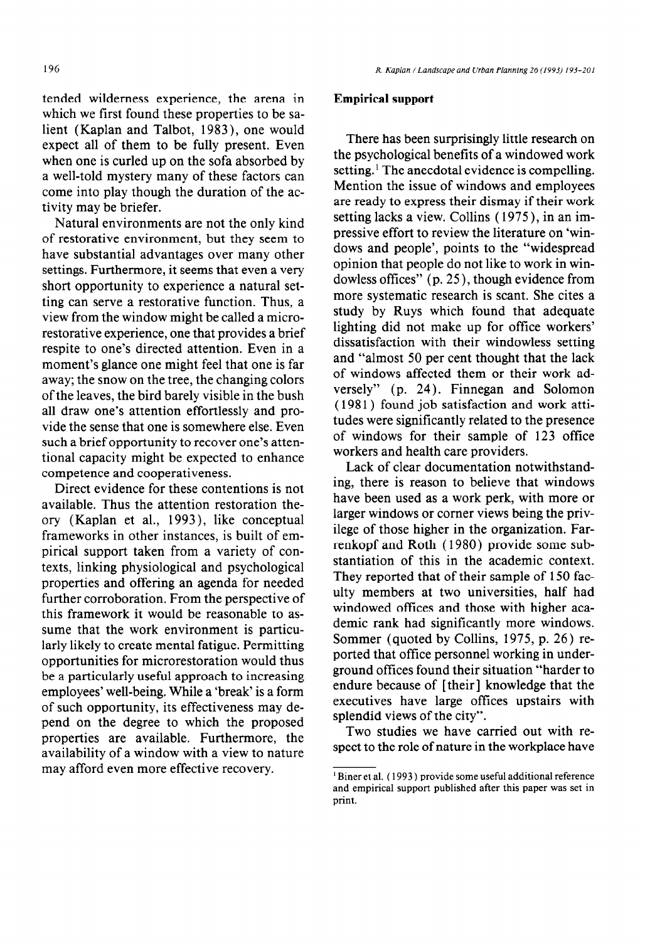tended wilderness experience, the arena in which we first found these properties to be salient (Kaplan and Talbot, 1983 ), one would expect all of them to be fully present. Even when one is curled up on the sofa absorbed by a well-told mystery many of these factors can come into play though the duration of the activity may be briefer.

Natural environments are not the only kind of restorative environment, but they seem to have substantial advantages over many other settings. Furthermore, it seems that even a very short opportunity to experience a natural setting can serve a restorative function. Thus, a view from the window might be called a microrestorative experience, one that provides a brief respite to one's directed attention. Even in a moment's glance one might feel that one is far away; the snow on the tree, the changing colors of the leaves, the bird barely visible in the bush all draw one's attention effortlessly and provide the sense that one is somewhere else. Even such a brief opportunity to recover one's attentional capacity might be expected to enhance competence and cooperativeness.

Direct evidence for these contentions is not available. Thus the attention restoration theory (Kaplan et al., 1993), like conceptual frameworks in other instances, is built of empirical support taken from a variety of contexts, linking physiological and psychological properties and offering an agenda for needed further corroboration. From the perspective of this framework it would be reasonable to assume that the work environment is particularly likely to create mental fatigue. Permitting opportunities for microrestoration would thus be a particularly useful approach to increasing employees' well-being. While a 'break' is a form of such opportunity, its effectiveness may depend on the degree to which the proposed properties are available. Furthermore, the availability of a window with a view to nature may afford even more effective recovery.

#### **Empirical support**

There has been surprisingly little research on the psychological benefits of a windowed work setting.' The anecdotal evidence is compelling. Mention the issue of windows and employees are ready to express their dismay if their work setting lacks a view. Collins ( 1975 ), in an impressive effort to review the literature on 'windows and people', points to the "widespread opinion that people do not like to work in windowless offrices" (p. 25 ), though evidence from more systematic research is scant. She cites a study by Ruys which found that adequate lighting did not make up for office workers' dissatisfaction with their windowless setting and "almost 50 per cent thought that the lack of windows affected them or their work adversely" (p. 24). Finnegan and Solomon (1981) found job satisfaction and work attitudes were significantly related to the presence of windows for their sample of 123 office workers and health care providers.

Lack of clear documentation notwithstanding, there is reason to believe that windows have been used as a work perk, with more or larger windows or corner views being the privilege of those higher in the organization. Farrenkopf and Roth ( 1980) provide some substantiation of this in the academic context. They reported that of their sample of 150 faculty members at two universities, half had windowed offices and those with higher academic rank had significantly more windows. Sommer (quoted by Collins, 1975, p. 26) reported that office personnel working in underground offices found their situation "harder to endure because of [their] knowledge that the executives have large offices upstairs with splendid views of the city".

Two studies we have carried out with respect to the role of nature in the workplace have

<sup>&#</sup>x27; Biner et al. ( 1993 ) provide some useful additional reference and empirical support published after this paper was set in print.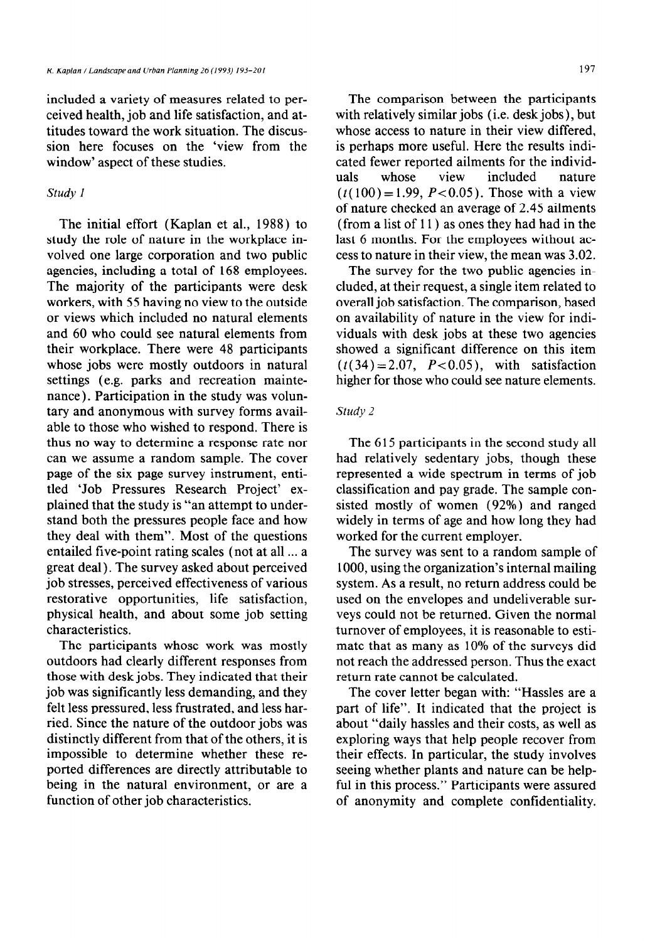included a variety of measures related to perceived health, job and life satisfaction, and attitudes toward the work situation. The discussion here focuses on the 'view from the window' aspect of these studies.

# *Study 1*

The initial effort (Kaplan et al., 1988) to study the role of nature in the workplace involved one large corporation and two public agencies, including a total of 168 employees. The majority of the participants were desk workers, with 55 having no view to the outside or views which included no natural elements and 60 who could see natural elements from their workplace. There were 48 participants whose jobs were mostly outdoors in natural settings (e.g. parks and recreation maintenance). Participation in the study was voluntary and anonymous with survey forms available to those who wished to respond. There is thus no way to determine a response rate nor can we assume a random sample. The cover page of the six page survey instrument, entitled 'Job Pressures Research Project' explained that the study is "an attempt to understand both the pressures people face and how they deal with them". Most of the questions entailed five-point rating scales (not at all  $\ldots$  a great deal). The survey asked about perceived job stresses, perceived effectiveness of various restorative opportunities, life satisfaction, physical health, and about some job setting characteristics.

The participants whose work was mostly outdoors had clearly different responses from those with desk jobs. They indicated that their job was significantly less demanding, and they felt less pressured, less frustrated, and less harried. Since the nature of the outdoor jobs was distinctly different from that of the others, it is impossible to determine whether these reported differences are directly attributable to being in the natural environment, or are a function of other job characteristics.

The comparison between the participants with relatively similar jobs (i.e. desk jobs), but whose access to nature in their view differed, is perhaps more useful. Here the results indicated fewer reported ailments for the individuals whose view included nature  $(t(100)=1.99, P<0.05)$ . Those with a view of nature checked an average of 2.45 ailments (from a list of 11) as ones they had had in the last 6 months. For the employees without access to nature in their view, the mean was 3.02.

The survey for the two public agencies included, at their request, a single item related to overall job satisfaction. The comparison, based on availability of nature in the view for individuals with desk jobs at these two agencies showed a significant difference on this item  $(t(34) = 2.07, P < 0.05)$ , with satisfaction higher for those who could see nature elements.

#### *Study 2*

The 615 participants in the second study all had relatively sedentary jobs, though these represented a wide spectrum in terms of job classification and pay grade. The sample consisted mostly of women (92%) and ranged widely in terms of age and how long they had worked for the current employer.

The survey was sent to a random sample of 1000, using the organization's internal mailing system. As a result, no return address could be used on the envelopes and undeliverable surveys could not be returned. Given the normal turnover of employees, it is reasonable to estimate that as many as 10% of the surveys did not reach the addressed person. Thus the exact return rate cannot be calculated.

The cover letter began with: "Hassles are a part of life". It indicated that the project is about "daily hassles and their costs, as well as exploring ways that help people recover from their effects. In particular, the study involves seeing whether plants and nature can be helpful in this process." Participants were assured of anonymity and complete confidentiality.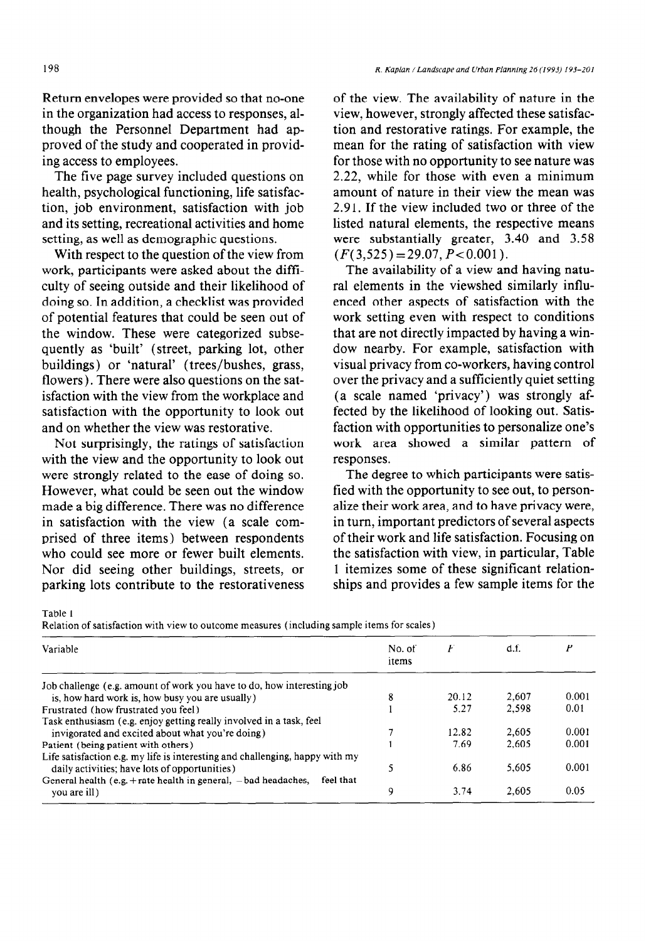Return envelopes were provided so that no-one in the organization had access to responses, although the Personnel Department had approved of the study and cooperated in providing access to employees.

The five page survey included questions on health, psychological functioning, life satisfaction, job environment, satisfaction with job and its setting, recreational activities and home setting, as well as demographic questions.

With respect to the question of the view from work, participants were asked about the difficulty of seeing outside and their likelihood of doing so. In addition, a checklist was provided of potential features that could be seen out of the window. These were categorized subsequently as 'built' (street, parking lot, other buildings) or 'natural' (trees/bushes, grass, flowers). There were also questions on the satisfaction with the view from the workplace and satisfaction with the opportunity to look out and on whether the view was restorative.

Not surprisingly, the ratings of satisfaction with the view and the opportunity to look out were strongly related to the ease of doing so. However, what could be seen out the window made a big difference. There was no difference in satisfaction with the view (a scale comprised of three items) between respondents who could see more or fewer built elements. Nor did seeing other buildings, streets, or parking lots contribute to the restorativeness

of the view. The availability of nature in the view, however, strongly affected these satisfaction and restorative ratings. For example, the mean for the rating of satisfaction with view for those with no opportunity to see nature was 2.22, while for those with even a minimum amount of nature in their view the mean was 2.9 1. If the view included two or three of the listed natural elements, the respective means were substantially greater, 3.40 and 3.58  $(F(3,525)=29.07, P<0.001).$ 

The availability of a view and having natural elements in the viewshed similarly influenced other aspects of satisfaction with the work setting even with respect to conditions that are not directly impacted by having a window nearby. For example, satisfaction with visual privacy from co-workers, having control over the privacy and a sufficiently quiet setting (a scale named 'privacy') was strongly affected by the likelihood of looking out. Satisfaction with opportunities to personalize one's work area showed a similar pattern of responses.

The degree to which participants were satisfied with the opportunity to see out, to personalize their work area, and to have privacy were, in turn, important predictors of several aspects of their work and life satisfaction. Focusing on the satisfaction with view, in particular, Table 1 itemizes some of these significant relationships and provides a few sample items for the

Table 1

Relation of satisfaction with view to outcome measures (including sample items for scales)

| Variable                                                                                    | No. of<br>items | F     | d.f.  |       |
|---------------------------------------------------------------------------------------------|-----------------|-------|-------|-------|
| Job challenge (e.g. amount of work you have to do, how interesting job                      |                 |       |       |       |
| is, how hard work is, how busy you are usually)                                             | 8               | 20.12 | 2.607 | 0.001 |
| Frustrated (how frustrated you feel)                                                        |                 | 5.27  | 2.598 | 0.01  |
| Task enthusiasm (e.g. enjoy getting really involved in a task, feel                         |                 |       |       |       |
| invigorated and excited about what you're doing)                                            |                 | 12.82 | 2,605 | 0.001 |
| Patient (being patient with others)                                                         |                 | 7.69  | 2.605 | 0.001 |
| Life satisfaction e.g. my life is interesting and challenging, happy with my                |                 |       |       |       |
| daily activities; have lots of opportunities)                                               |                 | 6.86  | 5.605 | 0.001 |
| General health (e.g. + rate health in general, $-\text{bad}$ headaches, $-\text{feed}$ that |                 |       |       |       |
| vou are ill)                                                                                | q               | 3.74  | 2.605 | 0.05  |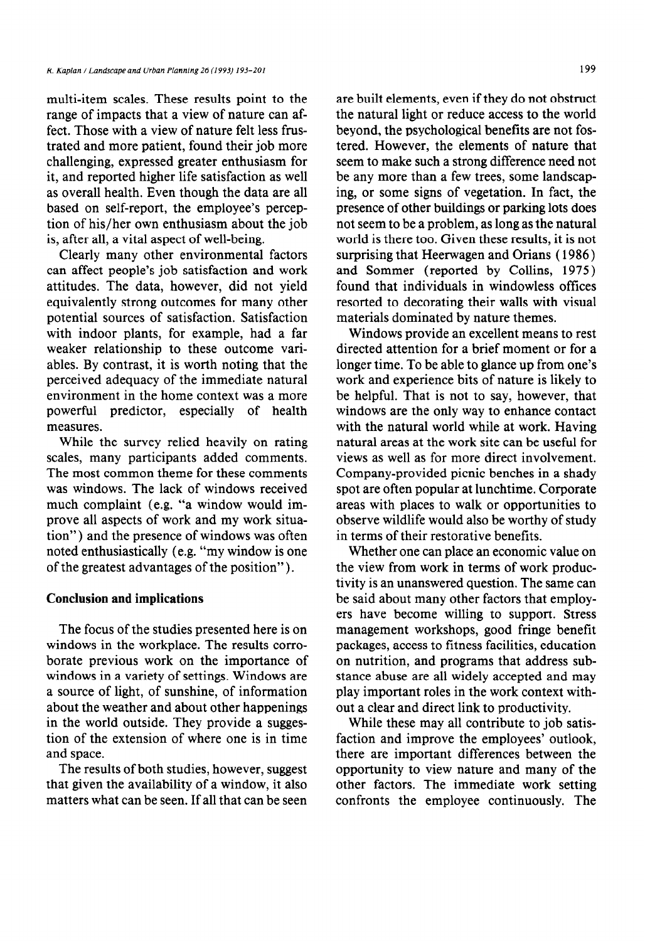multi-item scales. These results point to the range of impacts that a view of nature can affect. Those with a view of nature felt less frustrated and more patient, found their job more challenging, expressed greater enthusiasm for it, and reported higher life satisfaction as well as overall health. Even though the data are all based on self-report, the employee's perception of his/her own enthusiasm about the job is, after all, a vital aspect of well-being.

Clearly many other environmental factors can affect people's job satisfaction and work attitudes. The data, however, did not yield equivalently strong outcomes for many other potential sources of satisfaction. Satisfaction with indoor plants, for example, had a far weaker relationship to these outcome variables. By contrast, it is worth noting that the perceived adequacy of the immediate natural environment in the home context was a more powerful predictor, especially of health measures.

While the survey relied heavily on rating scales, many participants added comments. The most common theme for these comments was windows. The lack of windows received much complaint (e.g. "a window would improve all aspects of work and my work situation") and the presence of windows was often noted enthusiastically (e.g. "my window is one of the greatest advantages of the position").

# **Conclusion and implications**

The focus of the studies presented here is on windows in the workplace. The results corroborate previous work on the importance of windows in a variety of settings. Windows are a source of light, of sunshine, of information about the weather and about other happenings in the world outside. They provide a suggestion of the extension of where one is in time and space.

The results of both studies, however, suggest that given the availability of a window, it also matters what can be seen. If all that can be seen

are built elements, even if they do not obstruct the natural light or reduce access to the world beyond, the psychological benefits are not fostered. However, the elements of nature that seem to make such a strong difference need not be any more than a few trees, some landscaping, or some signs of vegetation. In fact, the presence of other buildings or parking lots does not seem to be a problem, as long as the natural world is there too. Given these results, it is not surprising that Heerwagen and Orians ( 1986) and Sommer (reported by Collins, 1975) found that individuals in windowless offices resorted to decorating their walls with visual materials dominated by nature themes.

Windows provide an excellent means to rest directed attention for a brief moment or for a longer time. To be able to glance up from one's work and experience bits of nature is likely to be helpful. That is not to say, however, that windows are the only way to enhance contact with the natural world while at work. Having natural areas at the work site can be useful for views as well as for more direct involvement. Company-provided picnic benches in a shady spot are often popular at lunchtime. Corporate areas with places to walk or opportunities to observe wildlife would also be worthy of study in terms of their restorative benefits.

Whether one can place an economic value on the view from work in terms of work productivity is an unanswered question. The same can be said about many other factors that employers have become willing to support. Stress management workshops, good fringe benefit packages, access to fitness facilities, education on nutrition, and programs that address substance abuse are all widely accepted and may play important roles in the work context without a clear and direct link to productivity.

While these may all contribute to job satisfaction and improve the employees' outlook, there are important differences between the opportunity to view nature and many of the other factors. The immediate work setting confronts the employee continuously. The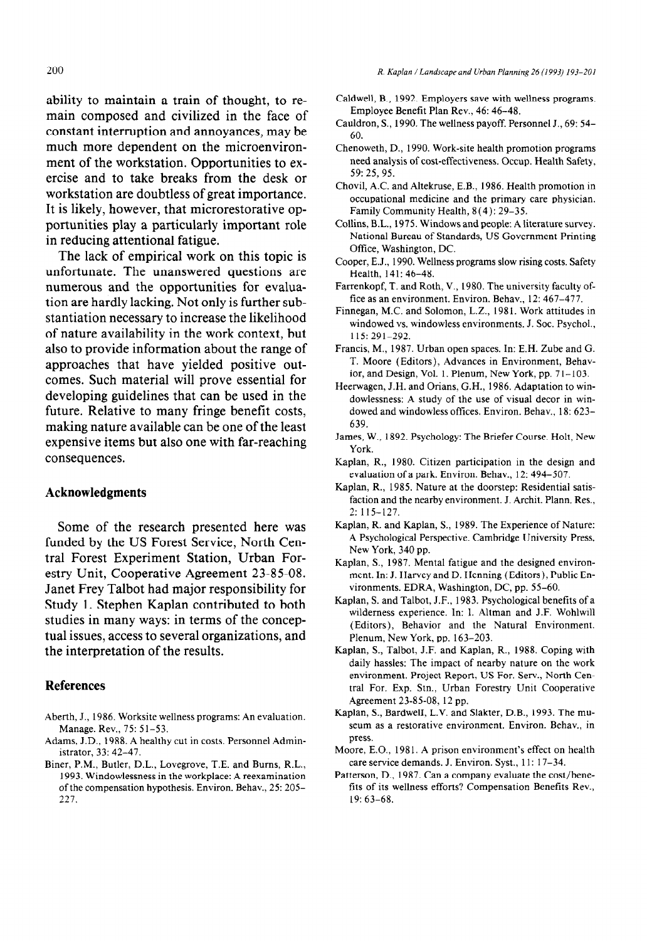ability to maintain a train of thought, to remain composed and civilized in the face of constant interruption and annoyances, may be much more dependent on the microenvironment of the workstation. Opportunities to exercise and to take breaks from the desk or workstation are doubtless of great importance. It is likely, however, that microrestorative opportunities play a particularly important role in reducing attentional fatigue.

The lack of empirical work on this topic is unfortunate. The unanswered questions are numerous and the opportunities for evaluation are hardly lacking. Not only is further substantiation necessary to increase the likelihood of nature availability in the work context, but also to provide information about the range of approaches that have yielded positive outcomes. Such material will prove essential for developing guidelines that can be used in the future. Relative to many fringe benefit costs, making nature available can be one of the least expensive items but also one with far-reaching consequences.

### **Acknowledgments**

Some of the research presented here was funded by the US Forest Service, North Central Forest Experiment Station, Urban Forestry Unit, Cooperative Agreement 23-85-08. Janet Frey Talbot had major responsibility for Study 1. Stephen Kaplan contributed to both studies in many ways: in terms of the conceptual issues, access to several organizations, and the interpretation of the results.

## **References**

- Aberth, J., 1986. Worksite wellness programs: An evaluation. Manage. Rev., 75: 51-53.
- Adams, J.D., 1988. A healthy cut in costs. Personnel Administrator, 33: 42-47.
- Biner, P.M., Butler, D.L., Lovegrove, T.E. and Bums, R.L., 1993. Windowlessness in the workplace: A reexamination of the compensation hypothesis. Environ. Behav., 25: 205- 227.
- Caldwell, B., 1992. Employers save with wellness programs. Employee Benefit Plan Rev., 46: 46-48.
- Cauldron, S., 1990. The wellness payoff. Personnel J., 69: 54- 60.
- Chenoweth, D., 1990. Work-site health promotion programs need analysis of cost-effectiveness. Occup. Health Safety, 59: 25,95.
- Chovil, A.C. and Altekruse, E.B., 1986. Health promotion in occupational medicine and the primary care physician. Family Community Health, 8(4): 29-35.
- Collins, B.L., 1975. Windows and people: A literature survey. National Bureau of Standards, US Government Printing Office, Washington, DC.
- Cooper, E.J., 1990. Wellness programs slow rising costs. Safety Health, 141: 46-48.
- Farrenkopf, T. and Roth, V., 1980. The university faculty office as an environment. Environ. Behav., 12: 467-477.
- Finnegan, M.C. and Solomon, L.Z., 198 1. Work attitudes in windowed vs. windowless environments. J. Soc. Psychol., 115: 291-292.
- Francis, M., 1987. Urban open spaces. In: E.H. Zube and G. T. Moore (Editors), Advances in Environment, Behavior, and Design, Vol. 1. Plenum, New York, pp. 71-103.
- Heerwagen, J.H. and Orians, G.H., 1986. Adaptation to windowlessness: A study of the use of visual decor in windowed and windowless offices. Environ. Behav., 18: 623- 639.
- James, W., 1892. Psychology: The Briefer Course. Holt, New York.
- Kaplan, R., 1980. Citizen participation in the design and evaluation of a park. Environ. Behav., 12: 494-507.
- Kaplan, R., 1985. Nature at the doorstep: Residential satisfaction and the nearby environment. J. Archit. Plann. Res., 2: 115-127.
- Kaplan, R. and Kaplan, S., 1989. The Experience of Nature: A Psychological Perspective. Cambridge University Press, New York, 340 pp.
- Kaplan, S., 1987. Mental fatigue and the designed environment. In: J. Harvey and D. Henning (Editors), Public Environments. EDRA, Washington, DC, pp. 55-60.
- Kaplan, S. and Talbot, J.F., 1983. Psychological benefits of a wilderness experience. In: 1. Altman and J.F. Wohlwill (Editors), Behavior and the Natural Environment. Plenum, New York, pp. 163-203.
- Kaplan, S., Talbot, J.F. and Kaplan, R., 1988. Coping with daily hassles: The impact of nearby nature on the work environment. Project Report, US For. Serv., North Central For. Exp. Stn., Urban Forestry Unit Cooperative Agreement 23-85-08, 12 pp.
- Kaplan, S., Bardwell, L.V. and Slakter, D.B., 1993. The museum as a restorative environment. Environ. Behav., in press.
- Moore, E.O., 1981. A prison environment's effect on health care service demands. J. Environ. Syst., 11: 17-34.
- Patterson, D., 1987. Can a company evaluate the cost/benefits of its wellness efforts? Compensation Benefits Rev., 19: 63-68.